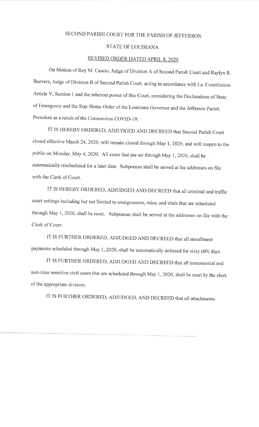## SECOND PARISH COURT FOR THE PARISH OF JEFFERSON

## STATE OF LOUISIANA

## REVISED ORDER DATED APRIL 8, 2020

on Motion of Roy M. Cascio, Judge of Division A of Second Parish Court and Raylyn R. Beevers, Judge of Division B of Second Parish Court, acting in accordance with La. Constitution Article V, Section 1 and the inherent power of this court, considering the Declarations of State of Emergency and the Stay Home Order of the Louisiana Governor and the Jefferson Parish President as a result of the Coronavirus COVID-19;

IT IS HEREBY ORDERED, ADJUDGED AND DECREED that Second Parish Court closed effective March 24, 2020, will remain closed through May 1, 2020, and will reopen to the public on Monday, May 4, 2020. All cases that are set through May 1, 2020, shall be automatically rescheduled for a later date. Subpoenas shall be served at the addresses on file with the Clerk of Court.

IT IS HEREBY ORDERED, ADJUDGED AND DECREED that all criminal and trafhc court settings including but not limited to arraignments, rules, and trials that are scheduled through May 1, 2020, shall be reset. Subpoenas shall be served at the addresses on file with the Clerk of Courl..

IT IS FURTHER ORDERED, ADJUDGED AND DECREED that all installment payments scheduled through May 1, 2020, shall be automatically deferred for sixty (60) days.

IT IS FURTHER ORDERED, ADJUDGED AND DECREED that all nonessential and non-time sensitive civil cases that are scheduled through May 1, 2020, shall be reset by the clerk of the appropriate division.

IT IS FURTHER ORDERED, ADJUDGED, AND DECREED that all attachments